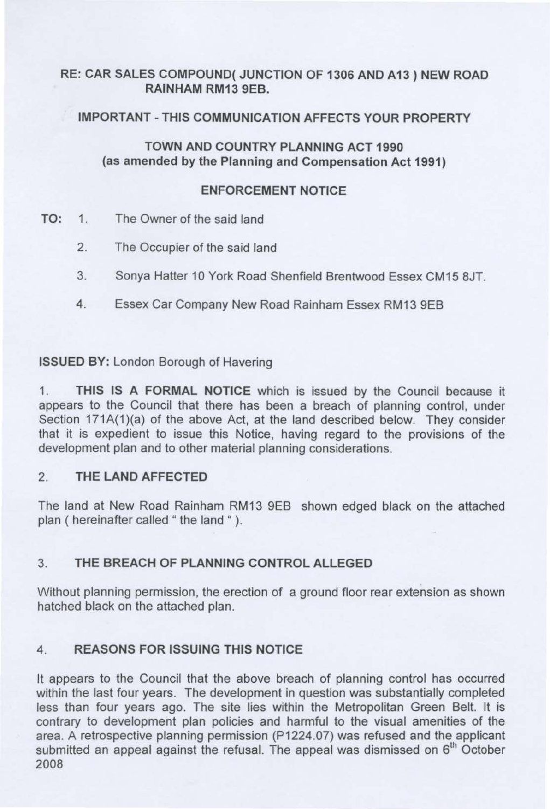# RE: CAR SALES COMPOUND( JUNCTION OF 1306 AND A13) NEW ROAD RAINHAM RM13 9EB.

# IMPORTANT-THIS COMMUNICATION AFFECTS YOUR PROPERTY

# TOWN AND COUNTRY PLANNING ACT 1990 (as amended by the Planning and Compensation Act 1991)

## ENFORCEMENT NOTICE

- TO: 1. The Owner of the said land
	- 2. The Occupier of the said land
	- 3. Sonya Hatter 10 York Road Shenfield Brentwood Essex CM15 8JT.
	- 4. Essex Car Company New Road Rainham Essex RM13 9EB

ISSUED BY: London Borough of Havering

1. THIS IS A FORMAL NOTICE which is issued by the Council because it appears to the Council that there has been a breach of planning control, under Section 171A(1)(a) of the above Act, at the land described below. They consider that it is expedient to issue this Notice, having regard to the provisions of the development plan and to other material planning considerations.

# 2. THE LAND AFFECTED

The land at New Road Rainham RM13 9EB shown edged black on the attached plan ( hereinafter called " the land " ).

# 3. THE BREACH OF PLANNING CONTROL ALLEGED

Without planning permission, the erection of a ground floor rear extension as shown hatched black on the attached plan.

# 4. REASONS FOR ISSUING THIS NOTICE

It appears to the Council that the above breach of planning control has occurred within the last four years. The development in question was substantially completed less than four years ago. The site lies within the Metropolitan Green Belt. It is contrary to development plan policies and harmful to the visual amenities of the area. A retrospective planning permission (P 1224.07) was refused and the applicant submitted an appeal against the refusal. The appeal was dismissed on  $6<sup>th</sup>$  October 2008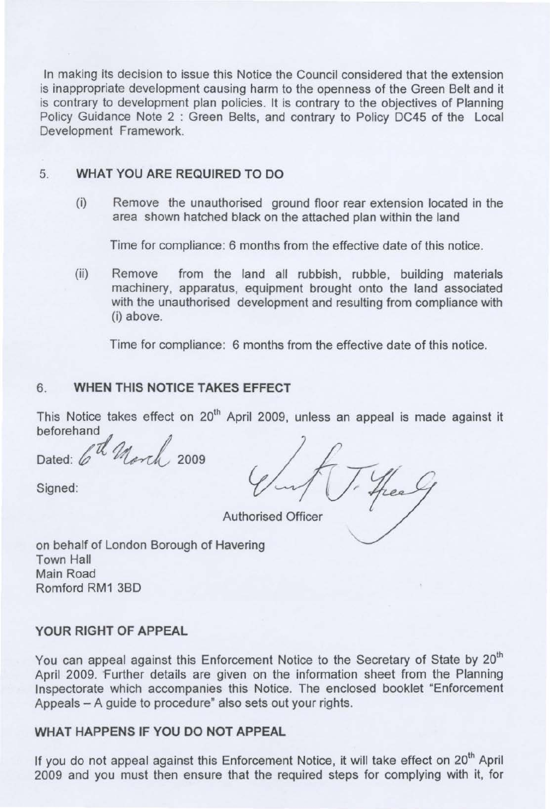In making its decision to issue this Notice the Council considered that the extension is inappropriate development causing harm to the openness of the Green Belt and it is contrary to development plan policies. It is contrary to the objectives of Planning Policy Guidance Note 2 : Green Belts, and contrary to Policy DC45 of the Local Development Framework.

### 5. **WHAT YOU ARE REQUIRED TO DO**

(i) Remove the unauthorised ground floor rear extension located in the area shown hatched black on the attached plan within the land

Time for compliance: 6 months from the effective date of this notice.

(ii) Remove from the land all rubbish, rubble, building materials machinery, apparatus, equipment brought onto the land associated with the unauthorised development and resulting from compliance with (i) above.

Time for compliance: 6 months from the effective date of this notice.

## 6. **WHEN THIS NOTICE TAKES EFFECT**

This Notice takes effect on 20<sup>th</sup> April 2009, unless an appeal is made against it beforehand

Dated: 6th Morch, 2009

Dated: 6th March 2009  $\sqrt{\pi\int\frac{y}{\pi}}$ Authorised Officer

on behalf of London Borough of Havering Town Hall Main Road Romford RM1 3BD

#### **YOUR RIGHT OF APPEAL**

You can appeal against this Enforcement Notice to the Secretary of State by 20<sup>th</sup> April 2009. Further details are given on the information sheet from the Planning Inspectorate which accompanies this Notice. The enclosed booklet "Enforcement Appeals - A guide to procedure" also sets out your rights.

### **WHAT HAPPENS IF YOU DO NOT APPEAL**

If you do not appeal against this Enforcement Notice, it will take effect on 20<sup>th</sup> April 2009 and you must then ensure that the required steps for complying with it, for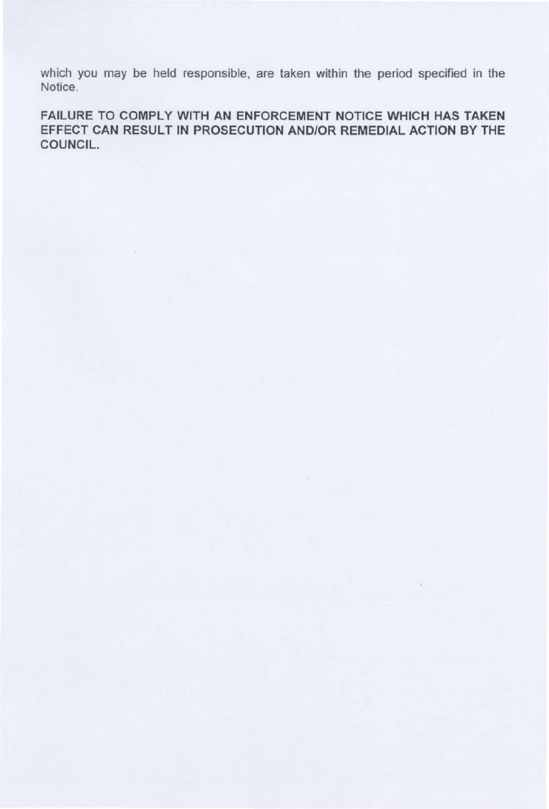which you may be held responsible, are taken within the period specified in the Notice.

FAILURE TO COMPLY WITH AN ENFORCEMENT NOTICE WHICH HAS TAKEN EFFECT CAN RESULT IN PROSECUTION AND/OR REMEDIAL ACTION BY THE COUNCIL.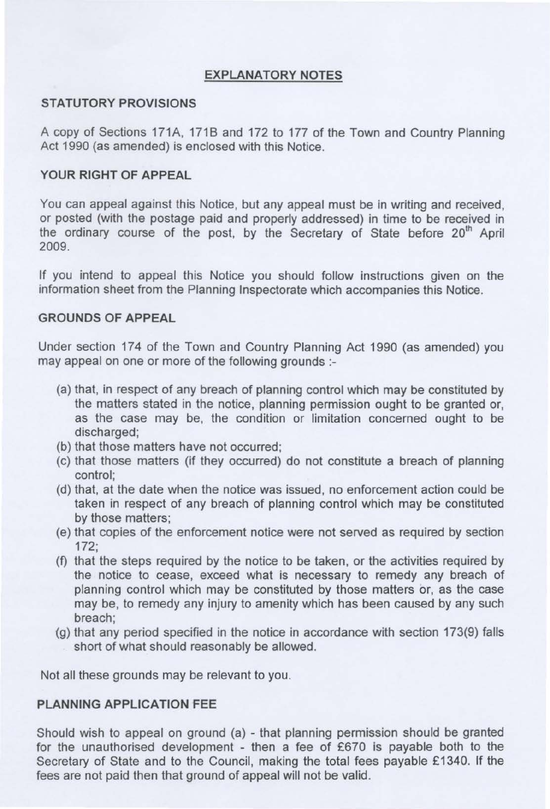# **EXPLANATORY NOTES**

## **STATUTORY PROVISIONS**

A copy of Sections 171A, 1718 and 172 to 177 of the Town and Country Planning Act 1990 (as amended) is enclosed with this Notice.

### **YOUR RIGHT OF APPEAL**

You can appeal against this Notice, but any appeal must be in writing and received, or posted (with the postage paid and properly addressed) in time to be received in the ordinary course of the post, by the Secretary of State before 20<sup>th</sup> April 2009.

If you intend to appeal this Notice you should follow instructions given on the information sheet from the Planning Inspectorate which accompanies this Notice.

### **GROUNDS OF APPEAL**

Under section 174 of the Town and Country Planning Act 1990 (as amended) you may appeal on one or more of the following grounds :

- (a) that, in respect of any breach of planning control which may be constituted by the matters stated in the notice, planning permission ought to be granted or, as the case may be, the condition or limitation concerned ought to be discharged;
- (b) that those matters have not occurred;
- (c) that those matters (if they occurred) do not constitute a breach of planning control;
- (d) that, at the date when the notice was issued, no enforcement action could be taken in respect of any breach of planning control which may be constituted by those matters;
- (e) that copies of the enforcement notice were not served as required by section 172;
- (f) that the steps required by the notice to be taken, or the activities required by the notice to cease, exceed what is necessary to remedy any breach of planning control which may be constituted by those matters or, as the case may be, to remedy any injury to amenity which has been caused by any such breach;
- (g) that any period specified in the notice in accordance with section 173(9) falls short of what should reasonably be allowed.

Not all these grounds may be relevant to you.

## **PLANNING APPLICATION FEE**

Should wish to appeal on ground (a) - that planning permission should be granted for the unauthorised development - then a fee of £670 is payable both to the Secretary of State and to the Council, making the total fees payable £1340. If the fees are not paid then that ground of appeal will not be valid.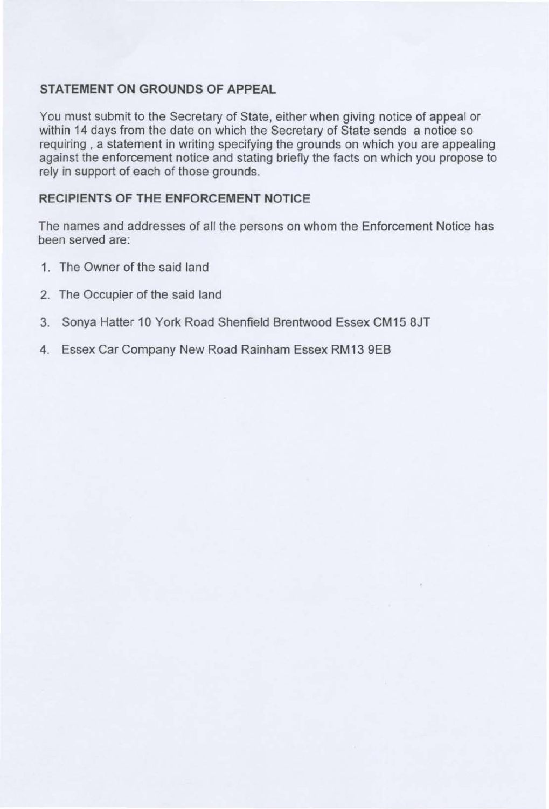### **STATEMENT ON GROUNDS OF APPEAL**

You must submit to the Secretary of State, either when giving notice of appeal or within 14 days from the date on which the Secretary of State sends a notice so requiring , a statement in writing specifying the grounds on which you are appealing against the enforcement notice and stating briefly the facts on which you propose to rely in support of each of those grounds.

### **RECIPIENTS OF THE ENFORCEMENT NOTICE**

The names and addresses of all the persons on whom the Enforcement Notice has been served are:

- 1. The Owner of the said land
- 2. The Occupier of the said land
- 3. Sonya Hatter 10 York Road Shenfield Brentwood Essex CM15 8JT
- 4. Essex Car Company New Road Rainham Essex RM13 9EB